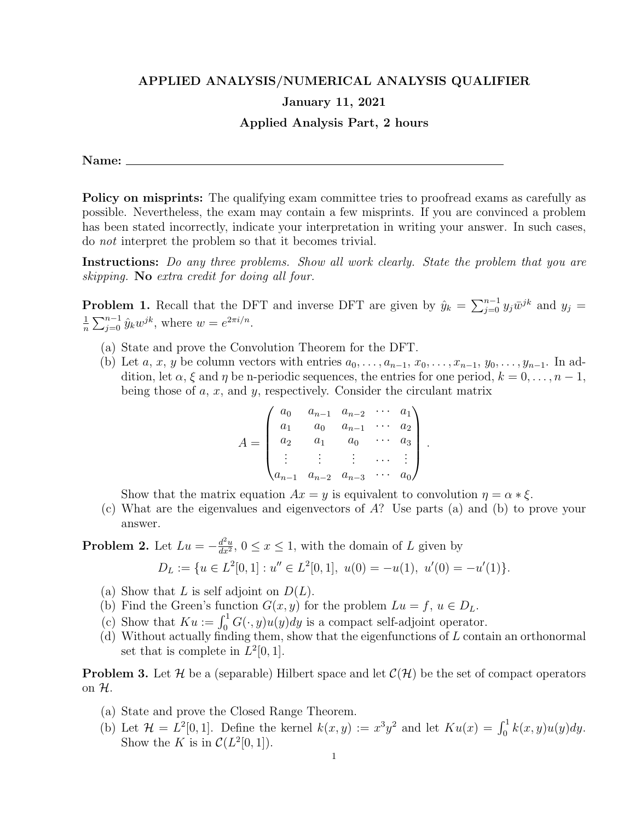## APPLIED ANALYSIS/NUMERICAL ANALYSIS QUALIFIER

## January 11, 2021

## Applied Analysis Part, 2 hours

Name:

Policy on misprints: The qualifying exam committee tries to proofread exams as carefully as possible. Nevertheless, the exam may contain a few misprints. If you are convinced a problem has been stated incorrectly, indicate your interpretation in writing your answer. In such cases, do not interpret the problem so that it becomes trivial.

Instructions: Do any three problems. Show all work clearly. State the problem that you are skipping. No extra credit for doing all four.

**Problem 1.** Recall that the DFT and inverse DFT are given by  $\hat{y}_k = \sum_{j=0}^{n-1} y_j \bar{w}^{jk}$  and  $y_j =$ 1  $\frac{1}{n} \sum_{j=0}^{n-1} \hat{y}_k w^{jk}$ , where  $w = e^{2\pi i/n}$ .

- (a) State and prove the Convolution Theorem for the DFT.
- (b) Let a, x, y be column vectors with entries  $a_0, \ldots, a_{n-1}, x_0, \ldots, x_{n-1}, y_0, \ldots, y_{n-1}$ . In addition, let  $\alpha$ ,  $\xi$  and  $\eta$  be n-periodic sequences, the entries for one period,  $k = 0, \ldots, n - 1$ , being those of  $a, x$ , and  $y$ , respectively. Consider the circulant matrix

$$
A = \begin{pmatrix} a_0 & a_{n-1} & a_{n-2} & \cdots & a_1 \\ a_1 & a_0 & a_{n-1} & \cdots & a_2 \\ a_2 & a_1 & a_0 & \cdots & a_3 \\ \vdots & \vdots & \vdots & \cdots & \vdots \\ a_{n-1} & a_{n-2} & a_{n-3} & \cdots & a_0 \end{pmatrix}
$$

.

Show that the matrix equation  $Ax = y$  is equivalent to convolution  $\eta = \alpha * \xi$ .

(c) What are the eigenvalues and eigenvectors of A? Use parts (a) and (b) to prove your answer.

**Problem 2.** Let  $Lu = -\frac{d^2u}{dx^2}$  $\frac{d^2u}{dx^2}$ ,  $0 \le x \le 1$ , with the domain of L given by

$$
D_L := \{ u \in L^2[0,1] : u'' \in L^2[0,1], \ u(0) = -u(1), \ u'(0) = -u'(1) \}.
$$

- (a) Show that L is self adjoint on  $D(L)$ .
- (b) Find the Green's function  $G(x, y)$  for the problem  $Lu = f, u \in D<sub>L</sub>$ .
- (c) Show that  $Ku := \int_0^1 G(\cdot, y)u(y)dy$  is a compact self-adjoint operator.
- (d) Without actually finding them, show that the eigenfunctions of  $L$  contain an orthonormal set that is complete in  $L^2[0,1]$ .

**Problem 3.** Let H be a (separable) Hilbert space and let  $\mathcal{C}(\mathcal{H})$  be the set of compact operators on  $\mathcal{H}$ .

- (a) State and prove the Closed Range Theorem.
- (b) Let  $\mathcal{H} = L^2[0,1]$ . Define the kernel  $k(x,y) := x^3y^2$  and let  $Ku(x) = \int_0^1 k(x,y)u(y)dy$ . Show the K is in  $\mathcal{C}(L^2[0,1])$ .